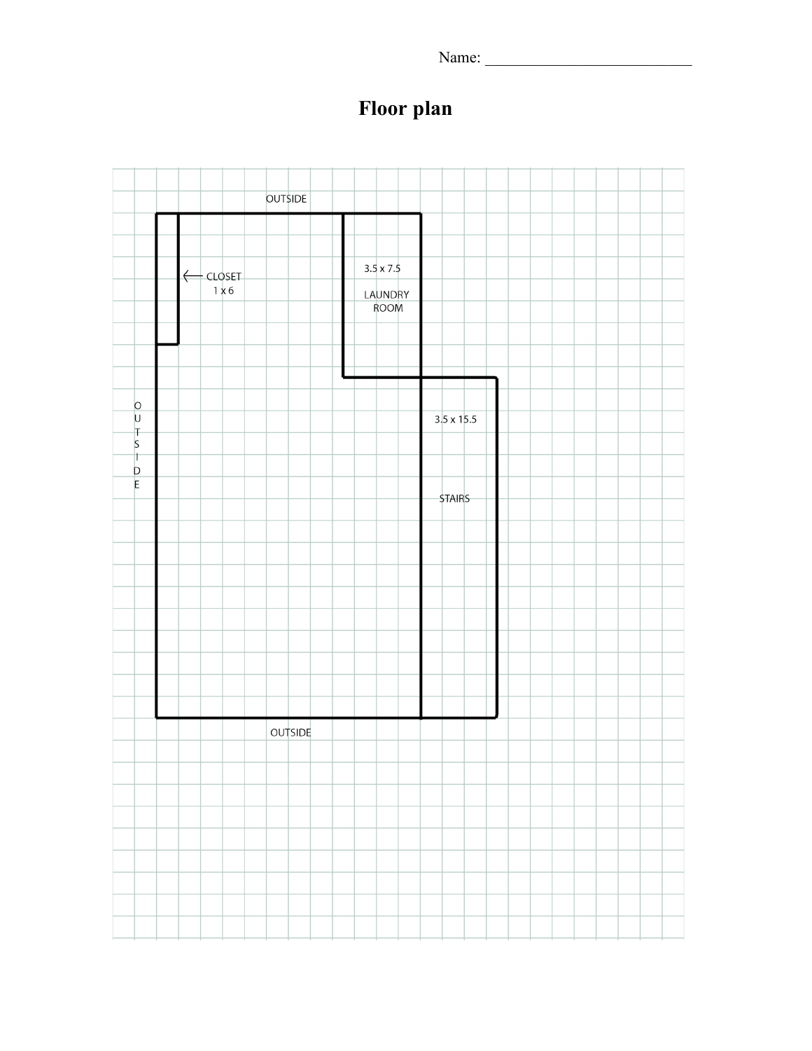Name: \_\_\_\_\_\_\_\_\_\_\_\_\_\_\_\_\_\_\_\_\_\_\_\_\_\_

# **Floor plan**

|                              |                                     | <b>OUTSIDE</b>   |                   |
|------------------------------|-------------------------------------|------------------|-------------------|
|                              |                                     |                  |                   |
|                              |                                     |                  |                   |
|                              |                                     | $3.5 \times 7.5$ |                   |
|                              | $\leftarrow$ CLOSET<br>$1 \times 6$ |                  |                   |
|                              |                                     | LAUNDRY<br>ROOM  |                   |
|                              |                                     |                  |                   |
|                              |                                     |                  |                   |
|                              |                                     |                  |                   |
| $\circ$<br>$\overline{U}$    |                                     |                  | $3.5 \times 15.5$ |
| ϝ<br>$\overline{\mathsf{S}}$ |                                     |                  |                   |
| ⊩<br>Þ                       |                                     |                  |                   |
| $\mathsf{E}$                 |                                     |                  | <b>STAIRS</b>     |
|                              |                                     |                  |                   |
|                              |                                     |                  |                   |
|                              |                                     |                  |                   |
|                              |                                     |                  |                   |
|                              |                                     |                  |                   |
|                              |                                     |                  |                   |
|                              |                                     |                  |                   |
|                              |                                     |                  |                   |
|                              |                                     |                  |                   |
|                              |                                     | OUTSIDE          |                   |
|                              |                                     |                  |                   |
|                              |                                     |                  |                   |
|                              |                                     |                  |                   |
|                              |                                     |                  |                   |
|                              |                                     |                  |                   |
|                              |                                     |                  |                   |
|                              |                                     |                  |                   |
|                              |                                     |                  |                   |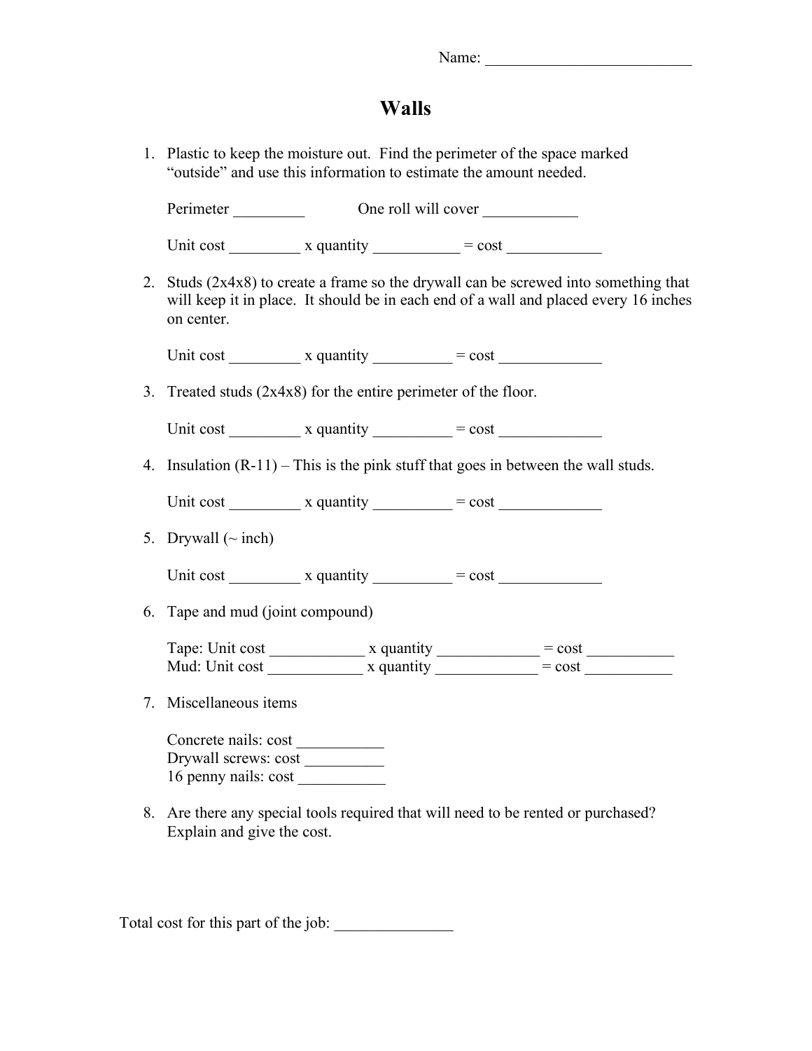#### **Walls**

1. Plastic to keep the moisture out. Find the perimeter of the space marked "outside" and use this information to estimate the amount needed.

|    | Perimeter                                                            |                                                                                                                                                                                                                                                                                                                                                                                                                                                                                                                             | One roll will cover |                                                                                                                                                                           |
|----|----------------------------------------------------------------------|-----------------------------------------------------------------------------------------------------------------------------------------------------------------------------------------------------------------------------------------------------------------------------------------------------------------------------------------------------------------------------------------------------------------------------------------------------------------------------------------------------------------------------|---------------------|---------------------------------------------------------------------------------------------------------------------------------------------------------------------------|
|    |                                                                      | Unit cost $\frac{\ }{\ }$ x quantity $\frac{\ }{\ }$ = cost $\frac{\ }{\ }$                                                                                                                                                                                                                                                                                                                                                                                                                                                 |                     |                                                                                                                                                                           |
| 2. | on center.                                                           |                                                                                                                                                                                                                                                                                                                                                                                                                                                                                                                             |                     | Studs (2x4x8) to create a frame so the drywall can be screwed into something that<br>will keep it in place. It should be in each end of a wall and placed every 16 inches |
|    |                                                                      | Unit cost $\_\_\_\_$ x quantity $\_\_\_\_\_$ = cost $\_\_\_\_\_\_\_\_$                                                                                                                                                                                                                                                                                                                                                                                                                                                      |                     |                                                                                                                                                                           |
|    |                                                                      | 3. Treated studs $(2x4x8)$ for the entire perimeter of the floor.                                                                                                                                                                                                                                                                                                                                                                                                                                                           |                     |                                                                                                                                                                           |
|    |                                                                      | Unit cost $\frac{\ }{\ }$ x quantity $\frac{\ }{\ }$ = cost $\frac{\ }{\ }$                                                                                                                                                                                                                                                                                                                                                                                                                                                 |                     |                                                                                                                                                                           |
|    |                                                                      | 4. Insulation $(R-11)$ – This is the pink stuff that goes in between the wall studs.                                                                                                                                                                                                                                                                                                                                                                                                                                        |                     |                                                                                                                                                                           |
|    |                                                                      | Unit cost $\_\_\_\_$ x quantity $\_\_\_\_\_$ = cost $\_\_\_\_\_\_\_\_$                                                                                                                                                                                                                                                                                                                                                                                                                                                      |                     |                                                                                                                                                                           |
|    | 5. Drywall $(\sim$ inch)                                             |                                                                                                                                                                                                                                                                                                                                                                                                                                                                                                                             |                     |                                                                                                                                                                           |
|    |                                                                      | Unit cost $\_\_\_\_$ x quantity $\_\_\_\_\_$ = cost $\_\_\_\_\_\_\_\_$                                                                                                                                                                                                                                                                                                                                                                                                                                                      |                     |                                                                                                                                                                           |
|    | 6. Tape and mud (joint compound)                                     |                                                                                                                                                                                                                                                                                                                                                                                                                                                                                                                             |                     |                                                                                                                                                                           |
|    |                                                                      | Tape: Unit cost $\_\_\_\_\_$ x quantity $\_\_\_\_\_\_\_\_\_\_\_\_\_$ = cost $\_\_\_\_\_\_\_\_\_\_$<br>Mud: Unit cost $\frac{1}{\sqrt{1-\frac{1}{\sqrt{1-\frac{1}{\sqrt{1-\frac{1}{\sqrt{1-\frac{1}{\sqrt{1-\frac{1}{\sqrt{1-\frac{1}{\sqrt{1-\frac{1}{\sqrt{1-\frac{1}{\sqrt{1-\frac{1}{\sqrt{1-\frac{1}{\sqrt{1-\frac{1}{\sqrt{1-\frac{1}{\sqrt{1-\frac{1}{\sqrt{1-\frac{1}{\sqrt{1-\frac{1}{\sqrt{1-\frac{1}{\sqrt{1-\frac{1}{\sqrt{1-\frac{1}{\sqrt{1-\frac{1}{\sqrt{1-\frac{1}{\sqrt{1-\frac{1}{\sqrt{1-\frac{1}{\sqrt$ |                     |                                                                                                                                                                           |
|    | 7. Miscellaneous items                                               |                                                                                                                                                                                                                                                                                                                                                                                                                                                                                                                             |                     |                                                                                                                                                                           |
|    | Concrete nails: cost<br>Drywall screws: cost<br>16 penny nails: cost |                                                                                                                                                                                                                                                                                                                                                                                                                                                                                                                             |                     |                                                                                                                                                                           |
|    | Explain and give the cost.                                           | 8. Are there any special tools required that will need to be rented or purchased?                                                                                                                                                                                                                                                                                                                                                                                                                                           |                     |                                                                                                                                                                           |

Total cost for this part of the job: \_\_\_\_\_\_\_\_\_\_\_\_\_\_\_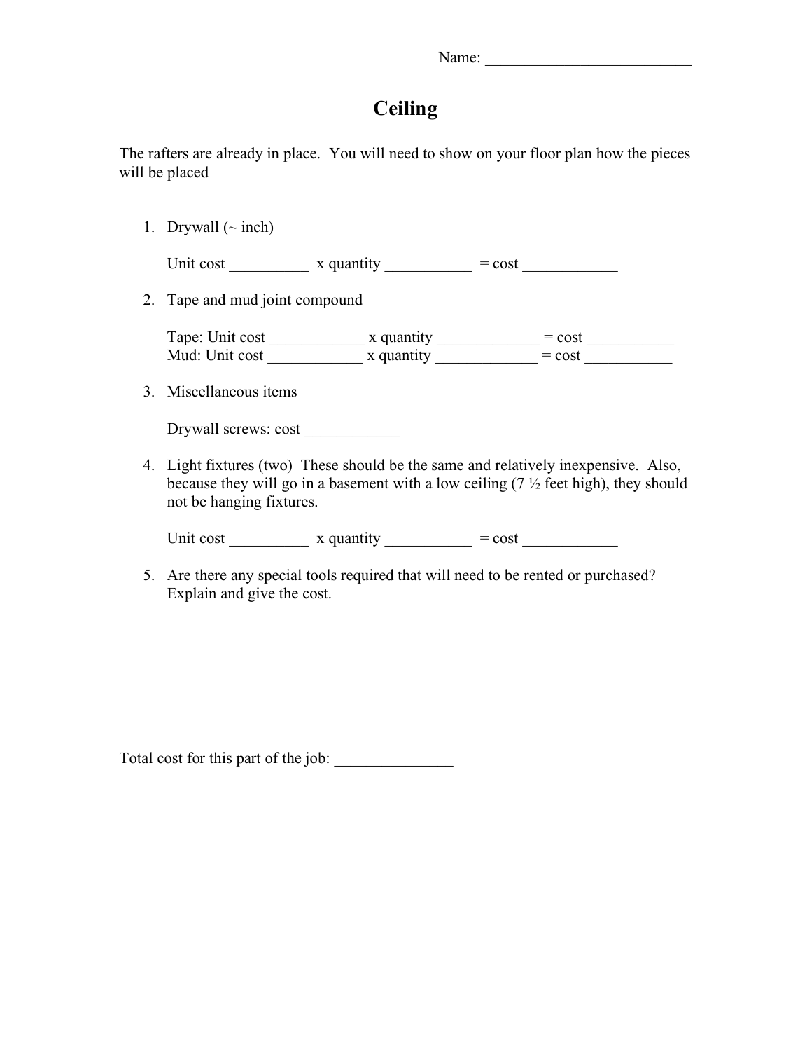| Name: |
|-------|
|-------|

### **Ceiling**

The rafters are already in place. You will need to show on your floor plan how the pieces will be placed

1. Drywall  $(\sim$  inch)

Unit cost  $\frac{1}{\sqrt{1-\frac{1}{\sqrt{1-\frac{1}{\sqrt{1-\frac{1}{\sqrt{1-\frac{1}{\sqrt{1-\frac{1}{\sqrt{1-\frac{1}{\sqrt{1-\frac{1}{\sqrt{1-\frac{1}{\sqrt{1-\frac{1}{\sqrt{1-\frac{1}{\sqrt{1-\frac{1}{\sqrt{1-\frac{1}{\sqrt{1-\frac{1}{\sqrt{1-\frac{1}{\sqrt{1-\frac{1}{\sqrt{1-\frac{1}{\sqrt{1-\frac{1}{\sqrt{1-\frac{1}{\sqrt{1-\frac{1}{\sqrt{1-\frac{1}{\sqrt{1-\frac{1}{\sqrt{1-\frac{1}{\sqrt{1-\frac{$ 

2. Tape and mud joint compound

Tape: Unit cost \_\_\_\_\_\_\_\_\_\_\_\_ x quantity \_\_\_\_\_\_\_\_\_\_\_\_\_ = cost \_\_\_\_\_\_\_\_\_\_\_ Mud: Unit cost  $x$  quantity  $= \text{cost}$ 

3. Miscellaneous items

Drywall screws: cost \_\_\_\_\_\_\_\_\_\_\_\_

4. Light fixtures (two) These should be the same and relatively inexpensive. Also, because they will go in a basement with a low ceiling  $(7\frac{1}{2})$  feet high), they should not be hanging fixtures.

Unit cost  $x$  quantity  $= \text{cost}$ 

5. Are there any special tools required that will need to be rented or purchased? Explain and give the cost.

Total cost for this part of the job: \_\_\_\_\_\_\_\_\_\_\_\_\_\_\_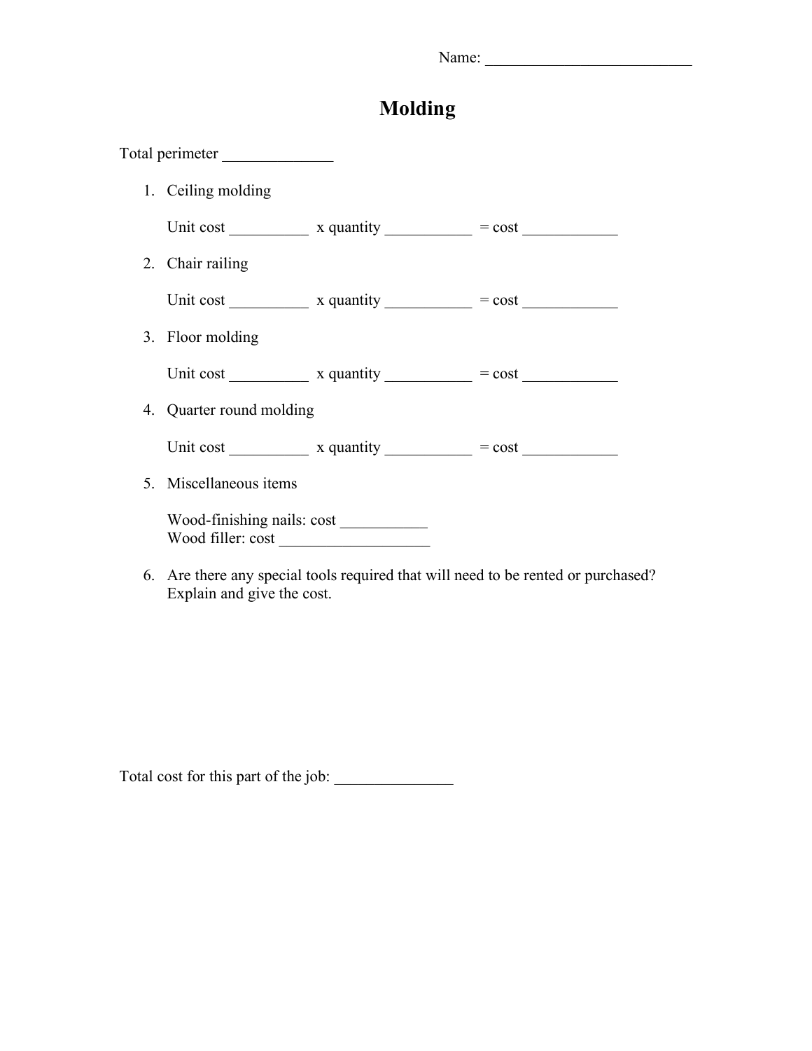$\overline{\phantom{a}}$  , and the set of the set of the set of the set of the set of the set of the set of the set of the set of the set of the set of the set of the set of the set of the set of the set of the set of the set of the s

# **Molding**

| 1. Ceiling molding                      |                                                                                                                                                                                                                                                                                                                                                                                                                           |                                                                                   |
|-----------------------------------------|---------------------------------------------------------------------------------------------------------------------------------------------------------------------------------------------------------------------------------------------------------------------------------------------------------------------------------------------------------------------------------------------------------------------------|-----------------------------------------------------------------------------------|
|                                         | Unit cost $\frac{\ }{\ }$ x quantity $\frac{\ }{\ }$ = cost $\frac{\ }{\ }$                                                                                                                                                                                                                                                                                                                                               |                                                                                   |
| 2. Chair railing                        |                                                                                                                                                                                                                                                                                                                                                                                                                           |                                                                                   |
|                                         | Unit cost $\frac{\ }{\ }$ x quantity $\frac{\ }{\ }$ = cost $\frac{\ }{\ }$                                                                                                                                                                                                                                                                                                                                               |                                                                                   |
| 3. Floor molding                        |                                                                                                                                                                                                                                                                                                                                                                                                                           |                                                                                   |
|                                         | Unit cost $\frac{\ }{\ }$ x quantity $\frac{\ }{\ }$ = cost $\frac{\ }{\ }$                                                                                                                                                                                                                                                                                                                                               |                                                                                   |
| 4. Quarter round molding                |                                                                                                                                                                                                                                                                                                                                                                                                                           |                                                                                   |
|                                         | Unit cost $\frac{1}{\sqrt{1-\frac{1}{\sqrt{1-\frac{1}{\sqrt{1-\frac{1}{\sqrt{1-\frac{1}{\sqrt{1-\frac{1}{\sqrt{1-\frac{1}{\sqrt{1-\frac{1}{\sqrt{1-\frac{1}{\sqrt{1-\frac{1}{\sqrt{1-\frac{1}{\sqrt{1-\frac{1}{\sqrt{1-\frac{1}{\sqrt{1-\frac{1}{\sqrt{1-\frac{1}{\sqrt{1-\frac{1}{\sqrt{1-\frac{1}{\sqrt{1-\frac{1}{\sqrt{1-\frac{1}{\sqrt{1-\frac{1}{\sqrt{1-\frac{1}{\sqrt{1-\frac{1}{\sqrt{1-\frac{1}{\sqrt{1-\frac{$ |                                                                                   |
| 5. Miscellaneous items                  |                                                                                                                                                                                                                                                                                                                                                                                                                           |                                                                                   |
| Wood-finishing nails: cost ____________ |                                                                                                                                                                                                                                                                                                                                                                                                                           |                                                                                   |
| Explain and give the cost.              |                                                                                                                                                                                                                                                                                                                                                                                                                           | 6. Are there any special tools required that will need to be rented or purchased? |

Total cost for this part of the job: \_\_\_\_\_\_\_\_\_\_\_\_\_\_\_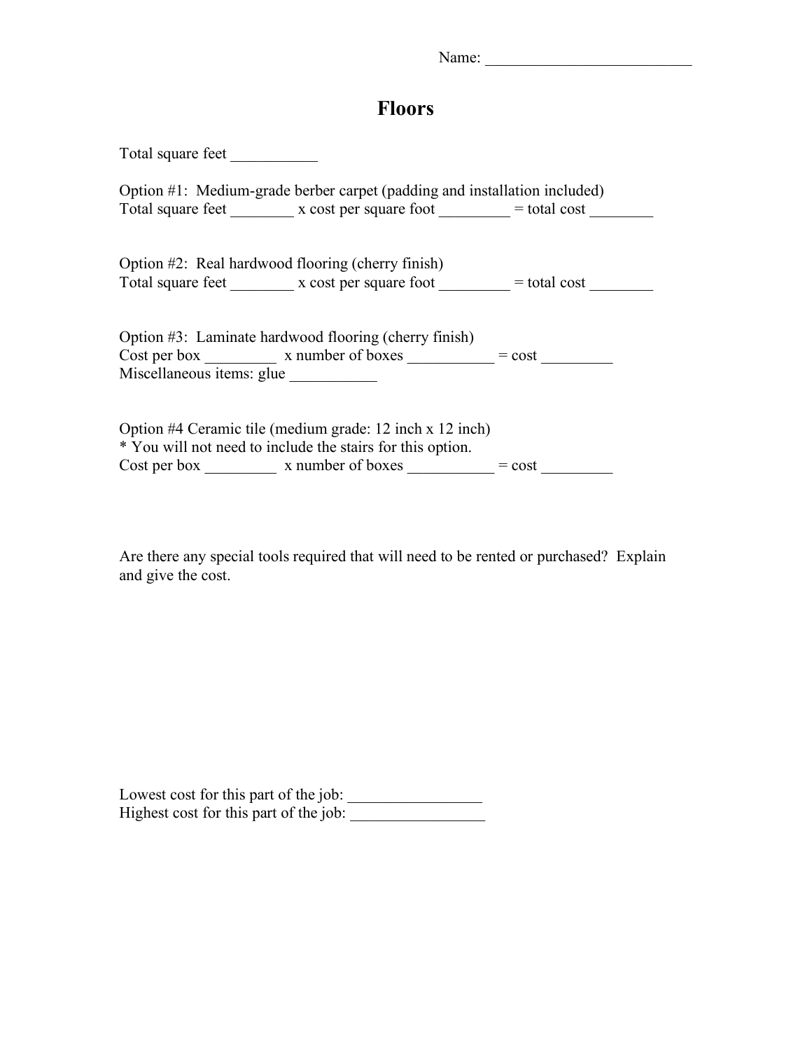### **Floors**

| Total square feet                                                                                                                                                               |  |
|---------------------------------------------------------------------------------------------------------------------------------------------------------------------------------|--|
| Option #1: Medium-grade berber carpet (padding and installation included)<br>Total square feet _____________ x cost per square foot __________ = total cost _________           |  |
| Option #2: Real hardwood flooring (cherry finish)<br>Total square feet $\_\_\_\ x \cos t$ per square foot $\_\_\_\_\_\$ = total cost $\_\_\_\_\_\_\$                            |  |
| Option #3: Laminate hardwood flooring (cherry finish)<br>$Cost per box$ x number of boxes $= cost$<br>Miscellaneous items: glue                                                 |  |
| Option #4 Ceramic tile (medium grade: 12 inch x 12 inch)<br>* You will not need to include the stairs for this option.<br>$Cost per box$ x number of boxes $\frac{1}{1}$ = cost |  |

Are there any special tools required that will need to be rented or purchased? Explain and give the cost.

Lowest cost for this part of the job: Highest cost for this part of the job: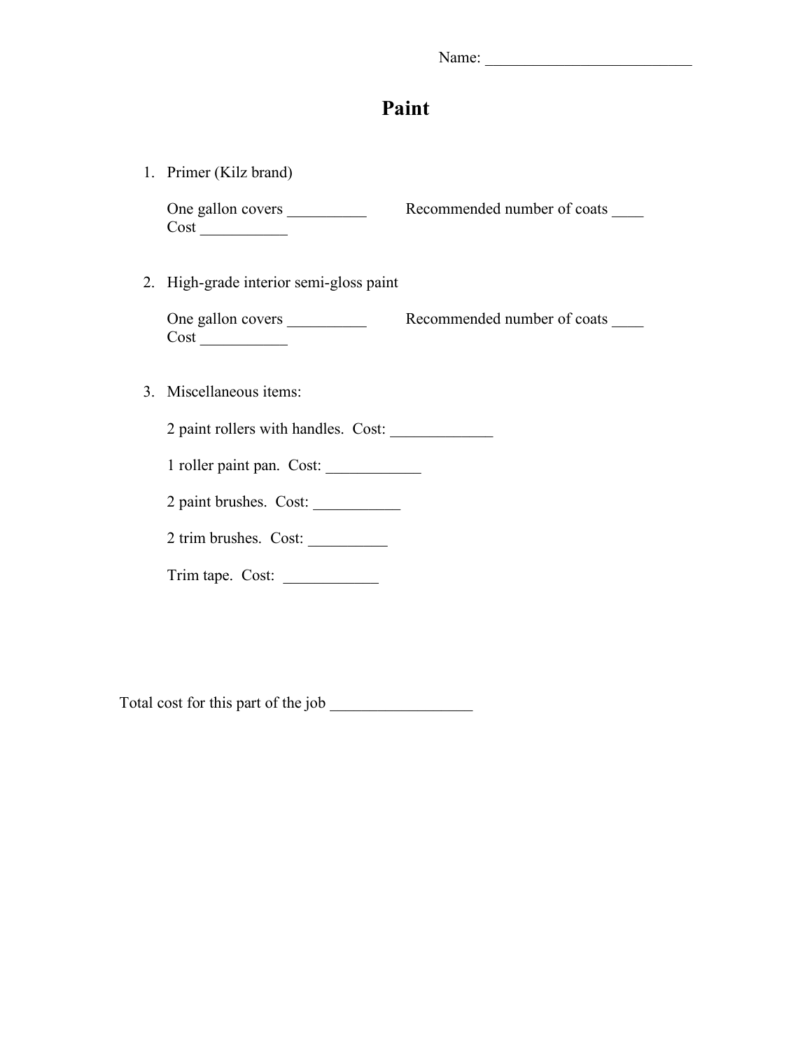#### **Paint**

1. Primer (Kilz brand)

One gallon covers \_\_\_\_\_\_\_\_\_\_\_\_\_\_ Recommended number of coats \_\_\_\_\_ Cost \_\_\_\_\_\_\_\_\_\_\_

2. High-grade interior semi-gloss paint

One gallon covers equallent covers and  $\sim$  Recommended number of coats  $\sim$ Cost \_\_\_\_\_\_\_\_\_\_\_

3. Miscellaneous items:

2 paint rollers with handles. Cost:

- 1 roller paint pan. Cost:
- 2 paint brushes. Cost: \_\_\_\_\_\_\_\_\_\_\_

2 trim brushes. Cost: \_\_\_\_\_\_\_\_\_\_

Trim tape. Cost:

Total cost for this part of the job